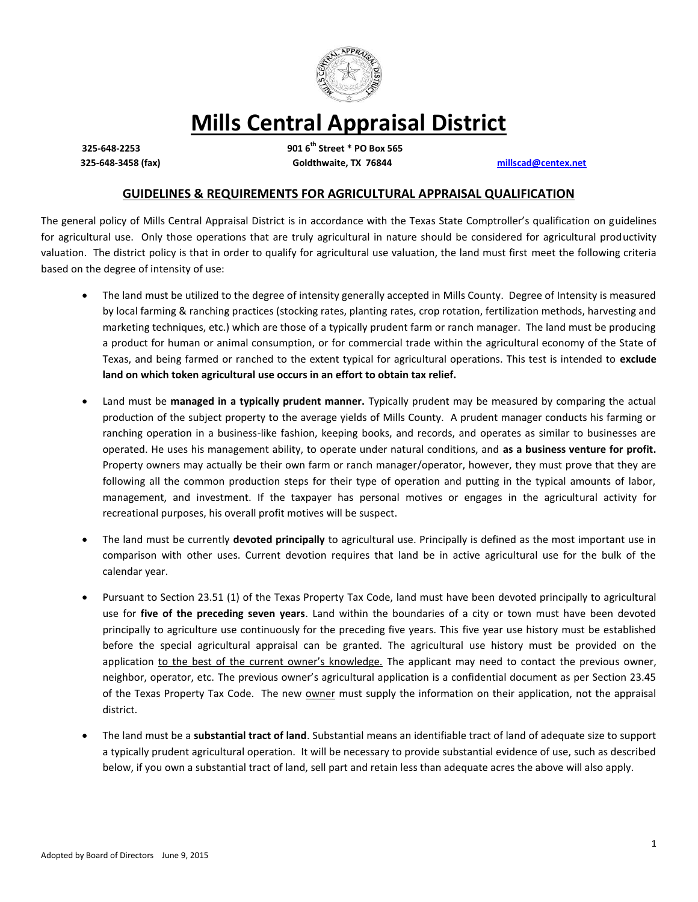

# **Mills Central Appraisal District**

**325-648-2253 901 6th Street \* PO Box 565 325-648-3458 (fax) Goldthwaite, TX 76844 [millscad@centex.net](mailto:millscad@centex.net)**

# **GUIDELINES & REQUIREMENTS FOR AGRICULTURAL APPRAISAL QUALIFICATION**

The general policy of Mills Central Appraisal District is in accordance with the Texas State Comptroller's qualification on guidelines for agricultural use. Only those operations that are truly agricultural in nature should be considered for agricultural productivity valuation. The district policy is that in order to qualify for agricultural use valuation, the land must first meet the following criteria based on the degree of intensity of use:

- The land must be utilized to the degree of intensity generally accepted in Mills County. Degree of Intensity is measured by local farming & ranching practices (stocking rates, planting rates, crop rotation, fertilization methods, harvesting and marketing techniques, etc.) which are those of a typically prudent farm or ranch manager. The land must be producing a product for human or animal consumption, or for commercial trade within the agricultural economy of the State of Texas, and being farmed or ranched to the extent typical for agricultural operations. This test is intended to **exclude land on which token agricultural use occurs in an effort to obtain tax relief.**
- Land must be **managed in a typically prudent manner.** Typically prudent may be measured by comparing the actual production of the subject property to the average yields of Mills County. A prudent manager conducts his farming or ranching operation in a business-like fashion, keeping books, and records, and operates as similar to businesses are operated. He uses his management ability, to operate under natural conditions, and **as a business venture for profit.** Property owners may actually be their own farm or ranch manager/operator, however, they must prove that they are following all the common production steps for their type of operation and putting in the typical amounts of labor, management, and investment. If the taxpayer has personal motives or engages in the agricultural activity for recreational purposes, his overall profit motives will be suspect.
- The land must be currently **devoted principally** to agricultural use. Principally is defined as the most important use in comparison with other uses. Current devotion requires that land be in active agricultural use for the bulk of the calendar year.
- Pursuant to Section 23.51 (1) of the Texas Property Tax Code, land must have been devoted principally to agricultural use for **five of the preceding seven years**. Land within the boundaries of a city or town must have been devoted principally to agriculture use continuously for the preceding five years. This five year use history must be established before the special agricultural appraisal can be granted. The agricultural use history must be provided on the application to the best of the current owner's knowledge. The applicant may need to contact the previous owner, neighbor, operator, etc. The previous owner's agricultural application is a confidential document as per Section 23.45 of the Texas Property Tax Code. The new owner must supply the information on their application, not the appraisal district.
- The land must be a **substantial tract of land**. Substantial means an identifiable tract of land of adequate size to support a typically prudent agricultural operation. It will be necessary to provide substantial evidence of use, such as described below, if you own a substantial tract of land, sell part and retain less than adequate acres the above will also apply.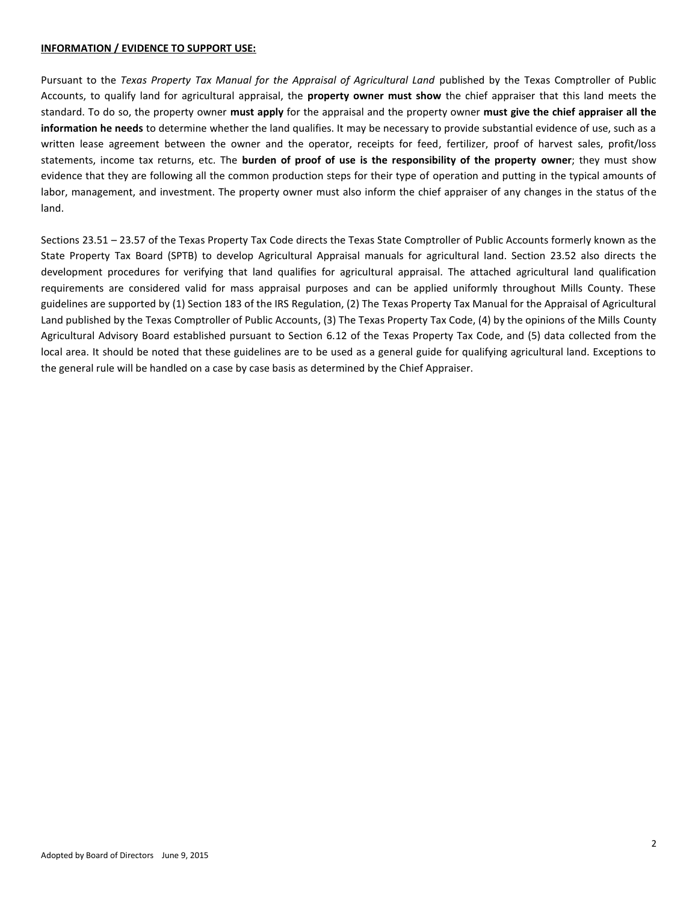## **INFORMATION / EVIDENCE TO SUPPORT USE:**

Pursuant to the *Texas Property Tax Manual for the Appraisal of Agricultural Land* published by the Texas Comptroller of Public Accounts, to qualify land for agricultural appraisal, the **property owner must show** the chief appraiser that this land meets the standard. To do so, the property owner **must apply** for the appraisal and the property owner **must give the chief appraiser all the information he needs** to determine whether the land qualifies. It may be necessary to provide substantial evidence of use, such as a written lease agreement between the owner and the operator, receipts for feed, fertilizer, proof of harvest sales, profit/loss statements, income tax returns, etc. The **burden of proof of use is the responsibility of the property owner**; they must show evidence that they are following all the common production steps for their type of operation and putting in the typical amounts of labor, management, and investment. The property owner must also inform the chief appraiser of any changes in the status of the land.

Sections 23.51 – 23.57 of the Texas Property Tax Code directs the Texas State Comptroller of Public Accounts formerly known as the State Property Tax Board (SPTB) to develop Agricultural Appraisal manuals for agricultural land. Section 23.52 also directs the development procedures for verifying that land qualifies for agricultural appraisal. The attached agricultural land qualification requirements are considered valid for mass appraisal purposes and can be applied uniformly throughout Mills County. These guidelines are supported by (1) Section 183 of the IRS Regulation, (2) The Texas Property Tax Manual for the Appraisal of Agricultural Land published by the Texas Comptroller of Public Accounts, (3) The Texas Property Tax Code, (4) by the opinions of the Mills County Agricultural Advisory Board established pursuant to Section 6.12 of the Texas Property Tax Code, and (5) data collected from the local area. It should be noted that these guidelines are to be used as a general guide for qualifying agricultural land. Exceptions to the general rule will be handled on a case by case basis as determined by the Chief Appraiser.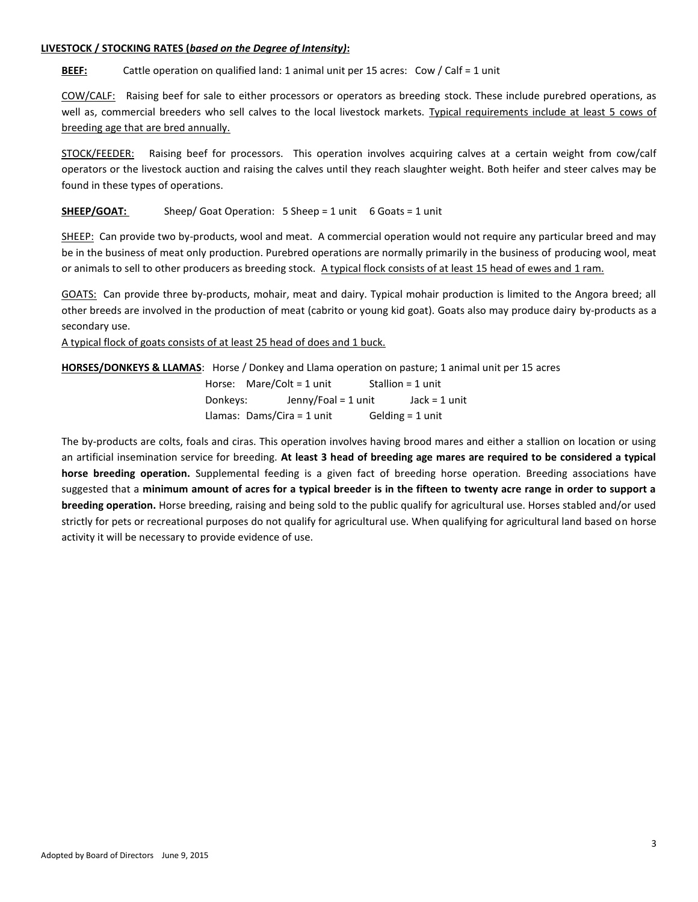## **LIVESTOCK / STOCKING RATES (***based on the Degree of Intensity)***:**

**BEEF:** Cattle operation on qualified land: 1 animal unit per 15 acres: Cow / Calf = 1 unit

COW/CALF: Raising beef for sale to either processors or operators as breeding stock. These include purebred operations, as well as, commercial breeders who sell calves to the local livestock markets. Typical requirements include at least 5 cows of breeding age that are bred annually.

STOCK/FEEDER: Raising beef for processors. This operation involves acquiring calves at a certain weight from cow/calf operators or the livestock auction and raising the calves until they reach slaughter weight. Both heifer and steer calves may be found in these types of operations.

**SHEEP/ GOAT:** Sheep/ Goat Operation: 5 Sheep = 1 unit 6 Goats = 1 unit

SHEEP: Can provide two by-products, wool and meat. A commercial operation would not require any particular breed and may be in the business of meat only production. Purebred operations are normally primarily in the business of producing wool, meat or animals to sell to other producers as breeding stock. A typical flock consists of at least 15 head of ewes and 1 ram.

GOATS: Can provide three by-products, mohair, meat and dairy. Typical mohair production is limited to the Angora breed; all other breeds are involved in the production of meat (cabrito or young kid goat). Goats also may produce dairy by-products as a secondary use.

A typical flock of goats consists of at least 25 head of does and 1 buck.

**HORSES/DONKEYS & LLAMAS**: Horse / Donkey and Llama operation on pasture; 1 animal unit per 15 acres

|                              | Horse: Mare/Colt = 1 unit |                    | Stallion = $1$ unit |  |
|------------------------------|---------------------------|--------------------|---------------------|--|
| Donkeys:                     | Jenny/Foal = 1 unit       |                    | Jack = $1$ unit     |  |
| Llamas: Dams/Cira = $1$ unit |                           | Gelding $=$ 1 unit |                     |  |

The by-products are colts, foals and ciras. This operation involves having brood mares and either a stallion on location or using an artificial insemination service for breeding. **At least 3 head of breeding age mares are required to be considered a typical horse breeding operation.** Supplemental feeding is a given fact of breeding horse operation. Breeding associations have suggested that a **minimum amount of acres for a typical breeder is in the fifteen to twenty acre range in order to support a breeding operation.** Horse breeding, raising and being sold to the public qualify for agricultural use. Horses stabled and/or used strictly for pets or recreational purposes do not qualify for agricultural use. When qualifying for agricultural land based on horse activity it will be necessary to provide evidence of use.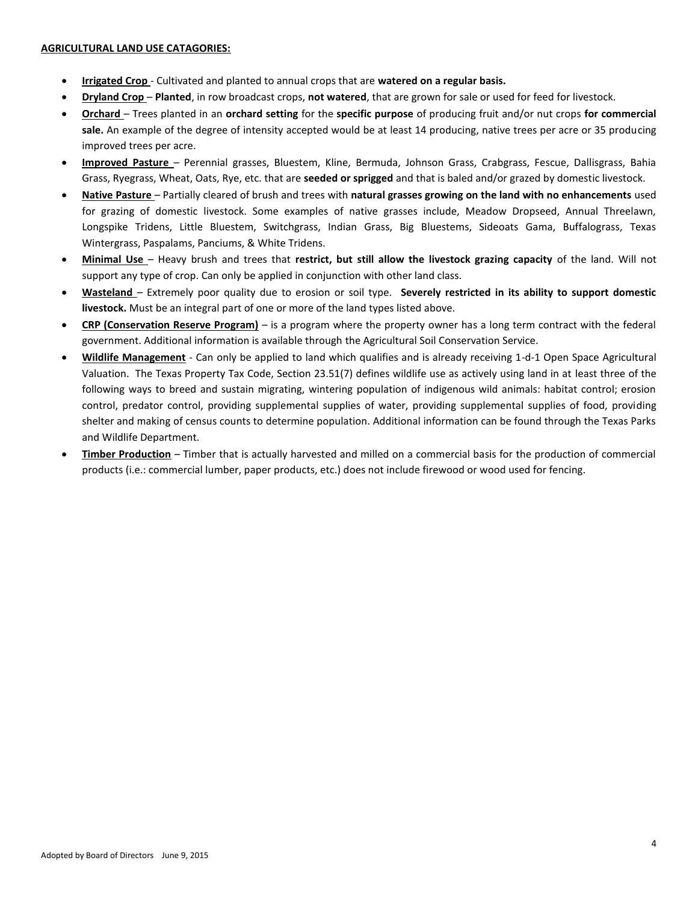- **Irrigated Crop** Cultivated and planted to annual crops that are **watered on a regular basis.**
- **Dryland Crop Planted**, in row broadcast crops, **not watered**, that are grown for sale or used for feed for livestock.
- **Orchard**  Trees planted in an **orchard setting** for the **specific purpose** of producing fruit and/or nut crops **for commercial sale.** An example of the degree of intensity accepted would be at least 14 producing, native trees per acre or 35 producing improved trees per acre.
- **Improved Pasture**  Perennial grasses, Bluestem, Kline, Bermuda, Johnson Grass, Crabgrass, Fescue, Dallisgrass, Bahia Grass, Ryegrass, Wheat, Oats, Rye, etc. that are **seeded or sprigged** and that is baled and/or grazed by domestic livestock.
- **Native Pasture**  Partially cleared of brush and trees with **natural grasses growing on the land with no enhancements** used for grazing of domestic livestock. Some examples of native grasses include, Meadow Dropseed, Annual Threelawn, Longspike Tridens, Little Bluestem, Switchgrass, Indian Grass, Big Bluestems, Sideoats Gama, Buffalograss, Texas Wintergrass, Paspalams, Panciums, & White Tridens.
- **Minimal Use**  Heavy brush and trees that **restrict, but still allow the livestock grazing capacity** of the land. Will not support any type of crop. Can only be applied in conjunction with other land class.
- **Wasteland**  Extremely poor quality due to erosion or soil type. **Severely restricted in its ability to support domestic livestock.** Must be an integral part of one or more of the land types listed above.
- **CRP (Conservation Reserve Program)** is a program where the property owner has a long term contract with the federal government. Additional information is available through the Agricultural Soil Conservation Service.
- **Wildlife Management** Can only be applied to land which qualifies and is already receiving 1-d-1 Open Space Agricultural Valuation. The Texas Property Tax Code, Section 23.51(7) defines wildlife use as actively using land in at least three of the following ways to breed and sustain migrating, wintering population of indigenous wild animals: habitat control; erosion control, predator control, providing supplemental supplies of water, providing supplemental supplies of food, providing shelter and making of census counts to determine population. Additional information can be found through the Texas Parks and Wildlife Department.
- **Timber Production** Timber that is actually harvested and milled on a commercial basis for the production of commercial products (i.e.: commercial lumber, paper products, etc.) does not include firewood or wood used for fencing.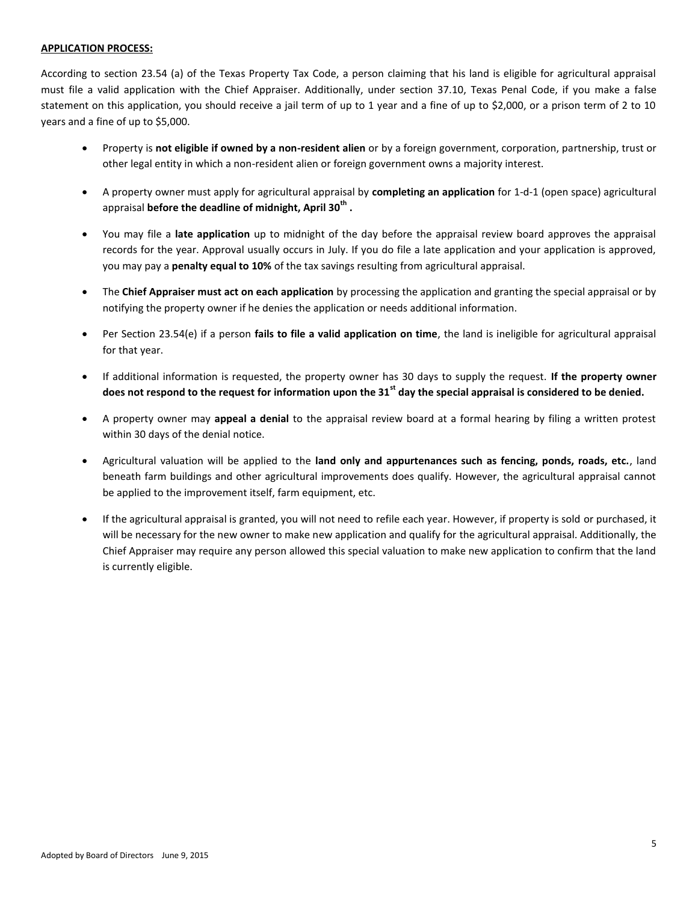## **APPLICATION PROCESS:**

According to section 23.54 (a) of the Texas Property Tax Code, a person claiming that his land is eligible for agricultural appraisal must file a valid application with the Chief Appraiser. Additionally, under section 37.10, Texas Penal Code, if you make a false statement on this application, you should receive a jail term of up to 1 year and a fine of up to \$2,000, or a prison term of 2 to 10 years and a fine of up to \$5,000.

- Property is **not eligible if owned by a non-resident alien** or by a foreign government, corporation, partnership, trust or other legal entity in which a non-resident alien or foreign government owns a majority interest.
- A property owner must apply for agricultural appraisal by **completing an application** for 1-d-1 (open space) agricultural appraisal **before the deadline of midnight, April 30th .**
- You may file a **late application** up to midnight of the day before the appraisal review board approves the appraisal records for the year. Approval usually occurs in July. If you do file a late application and your application is approved, you may pay a **penalty equal to 10%** of the tax savings resulting from agricultural appraisal.
- The **Chief Appraiser must act on each application** by processing the application and granting the special appraisal or by notifying the property owner if he denies the application or needs additional information.
- Per Section 23.54(e) if a person **fails to file a valid application on time**, the land is ineligible for agricultural appraisal for that year.
- If additional information is requested, the property owner has 30 days to supply the request. **If the property owner does not respond to the request for information upon the 31st day the special appraisal is considered to be denied.**
- A property owner may **appeal a denial** to the appraisal review board at a formal hearing by filing a written protest within 30 days of the denial notice.
- Agricultural valuation will be applied to the **land only and appurtenances such as fencing, ponds, roads, etc.**, land beneath farm buildings and other agricultural improvements does qualify. However, the agricultural appraisal cannot be applied to the improvement itself, farm equipment, etc.
- If the agricultural appraisal is granted, you will not need to refile each year. However, if property is sold or purchased, it will be necessary for the new owner to make new application and qualify for the agricultural appraisal. Additionally, the Chief Appraiser may require any person allowed this special valuation to make new application to confirm that the land is currently eligible.